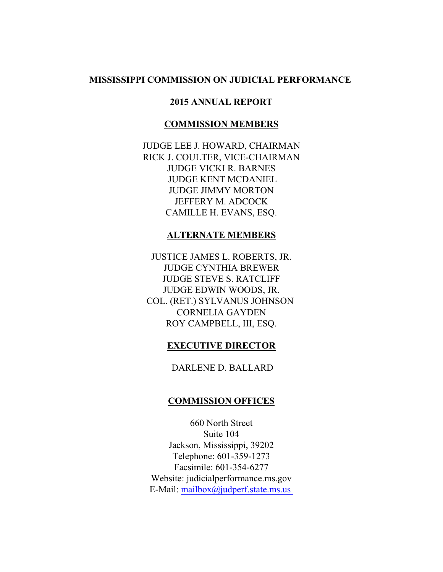# **MISSISSIPPI COMMISSION ON JUDICIAL PERFORMANCE**

### **2015 ANNUAL REPORT**

### **COMMISSION MEMBERS**

JUDGE LEE J. HOWARD, CHAIRMAN RICK J. COULTER, VICE-CHAIRMAN JUDGE VICKI R. BARNES JUDGE KENT MCDANIEL JUDGE JIMMY MORTON JEFFERY M. ADCOCK CAMILLE H. EVANS, ESQ.

### **ALTERNATE MEMBERS**

JUSTICE JAMES L. ROBERTS, JR. JUDGE CYNTHIA BREWER JUDGE STEVE S. RATCLIFF JUDGE EDWIN WOODS, JR. COL. (RET.) SYLVANUS JOHNSON CORNELIA GAYDEN ROY CAMPBELL, III, ESQ.

# **EXECUTIVE DIRECTOR**

DARLENE D. BALLARD

## **COMMISSION OFFICES**

660 North Street Suite 104 Jackson, Mississippi, 39202 Telephone: 601-359-1273 Facsimile: 601-354-6277 Website: judicialperformance.ms.gov E-Mail: [mailbox@judperf.state.ms.us](mailto:mailbox@judperf.state.ms.)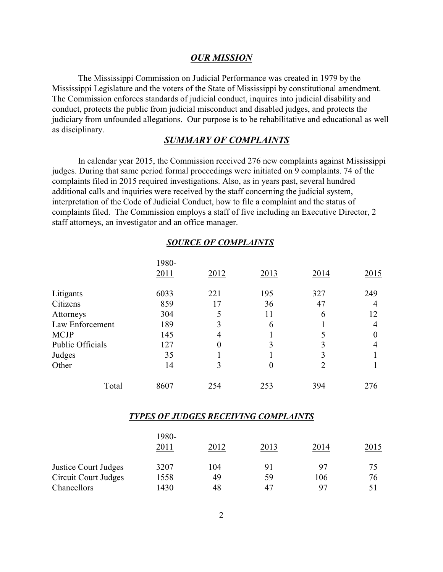### *OUR MISSION*

The Mississippi Commission on Judicial Performance was created in 1979 by the Mississippi Legislature and the voters of the State of Mississippi by constitutional amendment. The Commission enforces standards of judicial conduct, inquires into judicial disability and conduct, protects the public from judicial misconduct and disabled judges, and protects the judiciary from unfounded allegations. Our purpose is to be rehabilitative and educational as well as disciplinary.

## *SUMMARY OF COMPLAINTS*

In calendar year 2015, the Commission received 276 new complaints against Mississippi judges. During that same period formal proceedings were initiated on 9 complaints. 74 of the complaints filed in 2015 required investigations. Also, as in years past, several hundred additional calls and inquiries were received by the staff concerning the judicial system, interpretation of the Code of Judicial Conduct, how to file a complaint and the status of complaints filed. The Commission employs a staff of five including an Executive Director, 2 staff attorneys, an investigator and an office manager.

|                  |       | SOURCE OF COMPLAINTS |          |      |      |
|------------------|-------|----------------------|----------|------|------|
|                  | 1980- |                      |          |      |      |
|                  | 2011  | 2012                 | 2013     | 2014 | 2015 |
| Litigants        | 6033  | 221                  | 195      | 327  | 249  |
| Citizens         | 859   | 17                   | 36       | 47   | 4    |
| Attorneys        | 304   |                      | 11       | 6    | 12   |
| Law Enforcement  | 189   | 3                    | 6        |      | 4    |
| <b>MCJP</b>      | 145   | 4                    |          |      | 0    |
| Public Officials | 127   | $\theta$             |          | 3    | 4    |
| Judges           | 35    |                      |          |      |      |
| Other            | 14    | 3                    | $\theta$ | 2    |      |
| Total            | 8607  | 254                  | 253      | 394  | 276  |

# *SOURCE OF COMPLAINTS*

#### *TYPES OF JUDGES RECEIVING COMPLAINTS*

|                             | 1980-<br>2011 | 2012 | 2013 | 2014 | 2015 |
|-----------------------------|---------------|------|------|------|------|
| <b>Justice Court Judges</b> | 3207          | 104  |      | 97   | 75   |
| Circuit Court Judges        | 1558          | 49   | 59   | 106  | 76   |
| Chancellors                 | 1430          | 48   | 47   | 97   | 51   |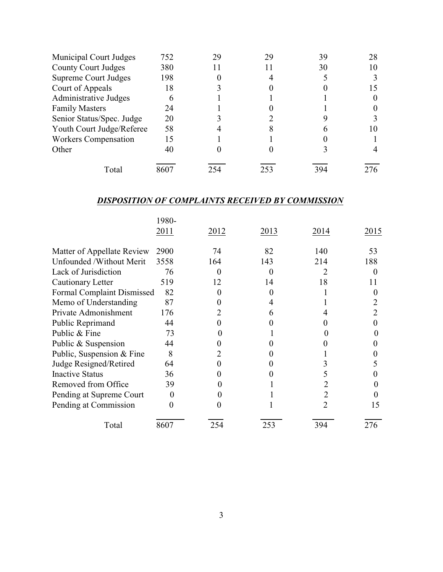| Municipal Court Judges      | 752  | 29 |     | 39  | 28  |
|-----------------------------|------|----|-----|-----|-----|
| <b>County Court Judges</b>  | 380  |    |     | 30  | 10  |
| <b>Supreme Court Judges</b> | 198  |    |     |     |     |
| Court of Appeals            | 18   |    |     |     |     |
| Administrative Judges       |      |    |     |     |     |
| <b>Family Masters</b>       | 24   |    |     |     |     |
| Senior Status/Spec. Judge   | 20   |    |     |     |     |
| Youth Court Judge/Referee   | 58   |    |     |     |     |
| <b>Workers Compensation</b> | 15   |    |     |     |     |
| Other                       | 40   |    |     |     |     |
| Total                       | 8607 |    | 253 | 394 | 276 |

# *DISPOSITION OF COMPLAINTS RECEIVED BY COMMISSION*

|                                   | 1980-             |      |      |      |      |
|-----------------------------------|-------------------|------|------|------|------|
|                                   | 2011              | 2012 | 2013 | 2014 | 2015 |
| Matter of Appellate Review        | 2900              | 74   | 82   | 140  | 53   |
| Unfounded /Without Merit          | 3558              | 164  | 143  | 214  | 188  |
| Lack of Jurisdiction              | 76                |      |      |      |      |
| Cautionary Letter                 | 519               | 12   | 14   | 18   | 11   |
| <b>Formal Complaint Dismissed</b> | 82                |      |      |      |      |
| Memo of Understanding             | 87                |      |      |      |      |
| Private Admonishment              | 176               |      |      |      |      |
| Public Reprimand                  | 44                |      |      |      |      |
| Public & Fine                     | 73                |      |      |      |      |
| Public & Suspension               | 44                |      |      |      |      |
| Public, Suspension & Fine         | 8                 |      |      |      |      |
| Judge Resigned/Retired            | 64                |      |      |      |      |
| <b>Inactive Status</b>            | 36                |      |      |      |      |
| Removed from Office               | 39                |      |      |      |      |
| Pending at Supreme Court          | $\mathbf{\Omega}$ |      |      |      |      |
| Pending at Commission             |                   |      |      |      | 15   |
| Total                             | 8607              | 254  | 253  | 394  | 276  |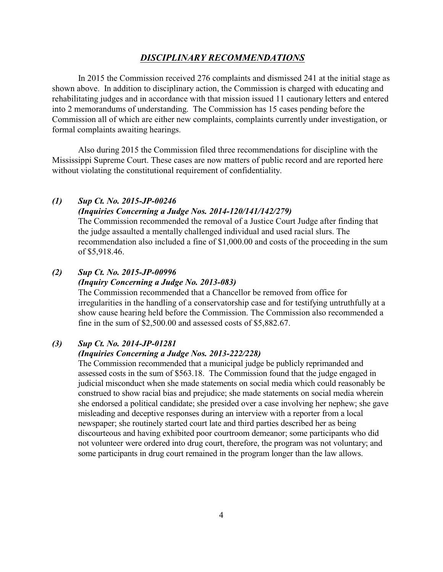### *DISCIPLINARY RECOMMENDATIONS*

In 2015 the Commission received 276 complaints and dismissed 241 at the initial stage as shown above. In addition to disciplinary action, the Commission is charged with educating and rehabilitating judges and in accordance with that mission issued 11 cautionary letters and entered into 2 memorandums of understanding. The Commission has 15 cases pending before the Commission all of which are either new complaints, complaints currently under investigation, or formal complaints awaiting hearings.

Also during 2015 the Commission filed three recommendations for discipline with the Mississippi Supreme Court. These cases are now matters of public record and are reported here without violating the constitutional requirement of confidentiality.

#### *(1) Sup Ct. No. 2015-JP-00246*

### *(Inquiries Concerning a Judge Nos. 2014-120/141/142/279)*

The Commission recommended the removal of a Justice Court Judge after finding that the judge assaulted a mentally challenged individual and used racial slurs. The recommendation also included a fine of \$1,000.00 and costs of the proceeding in the sum of \$5,918.46.

### *(2) Sup Ct. No. 2015-JP-00996*

### *(Inquiry Concerning a Judge No. 2013-083)*

The Commission recommended that a Chancellor be removed from office for irregularities in the handling of a conservatorship case and for testifying untruthfully at a show cause hearing held before the Commission. The Commission also recommended a fine in the sum of \$2,500.00 and assessed costs of \$5,882.67.

### *(3) Sup Ct. No. 2014-JP-01281*

### *(Inquiries Concerning a Judge Nos. 2013-222/228)*

The Commission recommended that a municipal judge be publicly reprimanded and assessed costs in the sum of \$563.18. The Commission found that the judge engaged in judicial misconduct when she made statements on social media which could reasonably be construed to show racial bias and prejudice; she made statements on social media wherein she endorsed a political candidate; she presided over a case involving her nephew; she gave misleading and deceptive responses during an interview with a reporter from a local newspaper; she routinely started court late and third parties described her as being discourteous and having exhibited poor courtroom demeanor; some participants who did not volunteer were ordered into drug court, therefore, the program was not voluntary; and some participants in drug court remained in the program longer than the law allows.